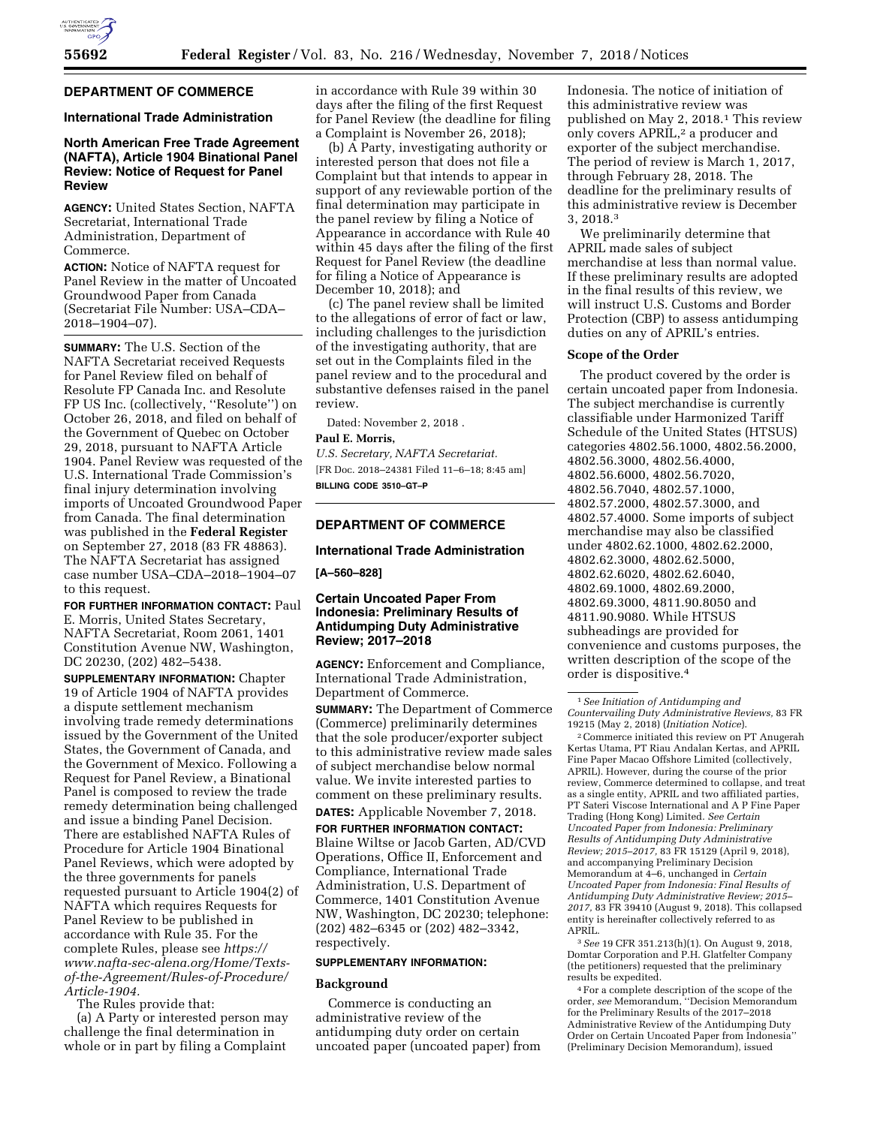

# **DEPARTMENT OF COMMERCE**

## **International Trade Administration**

# **North American Free Trade Agreement (NAFTA), Article 1904 Binational Panel Review: Notice of Request for Panel Review**

**AGENCY:** United States Section, NAFTA Secretariat, International Trade Administration, Department of Commerce.

**ACTION:** Notice of NAFTA request for Panel Review in the matter of Uncoated Groundwood Paper from Canada (Secretariat File Number: USA–CDA– 2018–1904–07).

**SUMMARY:** The U.S. Section of the NAFTA Secretariat received Requests for Panel Review filed on behalf of Resolute FP Canada Inc. and Resolute FP US Inc. (collectively, ''Resolute'') on October 26, 2018, and filed on behalf of the Government of Quebec on October 29, 2018, pursuant to NAFTA Article 1904. Panel Review was requested of the U.S. International Trade Commission's final injury determination involving imports of Uncoated Groundwood Paper from Canada. The final determination was published in the **Federal Register**  on September 27, 2018 (83 FR 48863). The NAFTA Secretariat has assigned case number USA–CDA–2018–1904–07 to this request.

**FOR FURTHER INFORMATION CONTACT:** Paul E. Morris, United States Secretary, NAFTA Secretariat, Room 2061, 1401 Constitution Avenue NW, Washington, DC 20230, (202) 482–5438.

**SUPPLEMENTARY INFORMATION:** Chapter 19 of Article 1904 of NAFTA provides a dispute settlement mechanism involving trade remedy determinations issued by the Government of the United States, the Government of Canada, and the Government of Mexico. Following a Request for Panel Review, a Binational Panel is composed to review the trade remedy determination being challenged and issue a binding Panel Decision. There are established NAFTA Rules of Procedure for Article 1904 Binational Panel Reviews, which were adopted by the three governments for panels requested pursuant to Article 1904(2) of NAFTA which requires Requests for Panel Review to be published in accordance with Rule 35. For the complete Rules, please see *[https://](https://www.nafta-sec-alena.org/Home/Texts-of-the-Agreement/Rules-of-Procedure/Article-1904) [www.nafta-sec-alena.org/Home/Texts](https://www.nafta-sec-alena.org/Home/Texts-of-the-Agreement/Rules-of-Procedure/Article-1904)[of-the-Agreement/Rules-of-Procedure/](https://www.nafta-sec-alena.org/Home/Texts-of-the-Agreement/Rules-of-Procedure/Article-1904)  [Article-1904.](https://www.nafta-sec-alena.org/Home/Texts-of-the-Agreement/Rules-of-Procedure/Article-1904)* 

The Rules provide that:

(a) A Party or interested person may challenge the final determination in whole or in part by filing a Complaint

in accordance with Rule 39 within 30 days after the filing of the first Request for Panel Review (the deadline for filing a Complaint is November 26, 2018);

(b) A Party, investigating authority or interested person that does not file a Complaint but that intends to appear in support of any reviewable portion of the final determination may participate in the panel review by filing a Notice of Appearance in accordance with Rule 40 within 45 days after the filing of the first Request for Panel Review (the deadline for filing a Notice of Appearance is December 10, 2018); and

(c) The panel review shall be limited to the allegations of error of fact or law, including challenges to the jurisdiction of the investigating authority, that are set out in the Complaints filed in the panel review and to the procedural and substantive defenses raised in the panel review.

Dated: November 2, 2018 .

### **Paul E. Morris,**

*U.S. Secretary, NAFTA Secretariat.* 

[FR Doc. 2018–24381 Filed 11–6–18; 8:45 am] **BILLING CODE 3510–GT–P** 

# **DEPARTMENT OF COMMERCE**

#### **International Trade Administration**

#### **[A–560–828]**

## **Certain Uncoated Paper From Indonesia: Preliminary Results of Antidumping Duty Administrative Review; 2017–2018**

**AGENCY:** Enforcement and Compliance, International Trade Administration, Department of Commerce.

**SUMMARY:** The Department of Commerce (Commerce) preliminarily determines that the sole producer/exporter subject to this administrative review made sales of subject merchandise below normal value. We invite interested parties to comment on these preliminary results.

**DATES:** Applicable November 7, 2018.

**FOR FURTHER INFORMATION CONTACT:**  Blaine Wiltse or Jacob Garten, AD/CVD Operations, Office II, Enforcement and Compliance, International Trade Administration, U.S. Department of Commerce, 1401 Constitution Avenue NW, Washington, DC 20230; telephone: (202) 482–6345 or (202) 482–3342, respectively.

#### **SUPPLEMENTARY INFORMATION:**

#### **Background**

Commerce is conducting an administrative review of the antidumping duty order on certain uncoated paper (uncoated paper) from Indonesia. The notice of initiation of this administrative review was published on May 2, 2018.1 This review only covers APRIL,<sup>2</sup> a producer and exporter of the subject merchandise. The period of review is March 1, 2017, through February 28, 2018. The deadline for the preliminary results of this administrative review is December 3, 2018.3

We preliminarily determine that APRIL made sales of subject merchandise at less than normal value. If these preliminary results are adopted in the final results of this review, we will instruct U.S. Customs and Border Protection (CBP) to assess antidumping duties on any of APRIL's entries.

#### **Scope of the Order**

The product covered by the order is certain uncoated paper from Indonesia. The subject merchandise is currently classifiable under Harmonized Tariff Schedule of the United States (HTSUS) categories 4802.56.1000, 4802.56.2000, 4802.56.3000, 4802.56.4000, 4802.56.6000, 4802.56.7020, 4802.56.7040, 4802.57.1000, 4802.57.2000, 4802.57.3000, and 4802.57.4000. Some imports of subject merchandise may also be classified under 4802.62.1000, 4802.62.2000, 4802.62.3000, 4802.62.5000, 4802.62.6020, 4802.62.6040, 4802.69.1000, 4802.69.2000, 4802.69.3000, 4811.90.8050 and 4811.90.9080. While HTSUS subheadings are provided for convenience and customs purposes, the written description of the scope of the order is dispositive.4

2Commerce initiated this review on PT Anugerah Kertas Utama, PT Riau Andalan Kertas, and APRIL Fine Paper Macao Offshore Limited (collectively, APRIL). However, during the course of the prior review, Commerce determined to collapse, and treat as a single entity, APRIL and two affiliated parties, PT Sateri Viscose International and A P Fine Paper Trading (Hong Kong) Limited. *See Certain Uncoated Paper from Indonesia: Preliminary Results of Antidumping Duty Administrative Review; 2015–2017,* 83 FR 15129 (April 9, 2018), and accompanying Preliminary Decision Memorandum at 4–6, unchanged in *Certain Uncoated Paper from Indonesia: Final Results of Antidumping Duty Administrative Review; 2015– 2017,* 83 FR 39410 (August 9, 2018). This collapsed entity is hereinafter collectively referred to as APRIL.

3*See* 19 CFR 351.213(h)(1). On August 9, 2018, Domtar Corporation and P.H. Glatfelter Company (the petitioners) requested that the preliminary results be expedited.

4For a complete description of the scope of the order, *see* Memorandum, ''Decision Memorandum for the Preliminary Results of the 2017–2018 Administrative Review of the Antidumping Duty Order on Certain Uncoated Paper from Indonesia'' (Preliminary Decision Memorandum), issued

<sup>1</sup>*See Initiation of Antidumping and Countervailing Duty Administrative Reviews,* 83 FR 19215 (May 2, 2018) (*Initiation Notice*).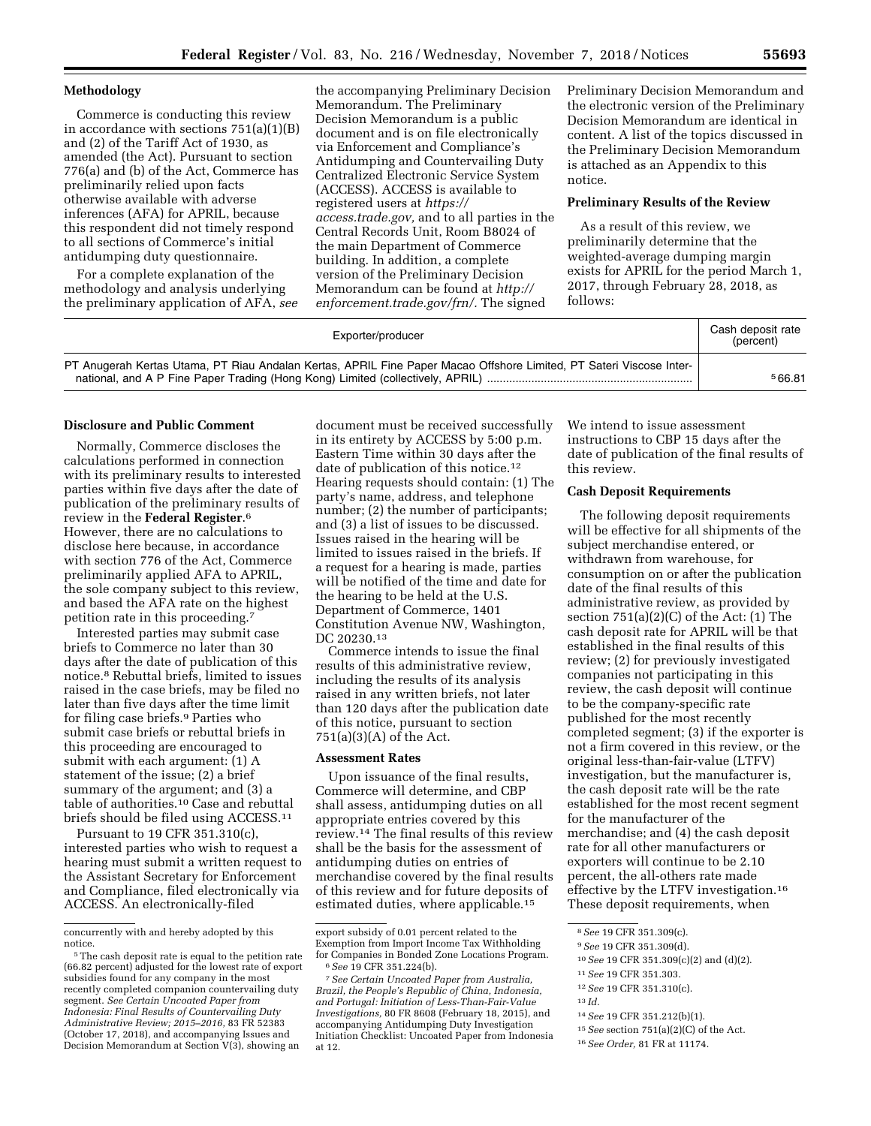## **Methodology**

Commerce is conducting this review in accordance with sections 751(a)(1)(B) and (2) of the Tariff Act of 1930, as amended (the Act). Pursuant to section 776(a) and (b) of the Act, Commerce has preliminarily relied upon facts otherwise available with adverse inferences (AFA) for APRIL, because this respondent did not timely respond to all sections of Commerce's initial antidumping duty questionnaire.

For a complete explanation of the methodology and analysis underlying the preliminary application of AFA, *see* 

the accompanying Preliminary Decision Memorandum. The Preliminary Decision Memorandum is a public document and is on file electronically via Enforcement and Compliance's Antidumping and Countervailing Duty Centralized Electronic Service System (ACCESS). ACCESS is available to registered users at *[https://](https://access.trade.gov) [access.trade.gov,](https://access.trade.gov)* and to all parties in the Central Records Unit, Room B8024 of the main Department of Commerce building. In addition, a complete version of the Preliminary Decision Memorandum can be found at *[http://](http://enforcement.trade.gov/frn/) [enforcement.trade.gov/frn/.](http://enforcement.trade.gov/frn/)* The signed

Preliminary Decision Memorandum and the electronic version of the Preliminary Decision Memorandum are identical in content. A list of the topics discussed in the Preliminary Decision Memorandum is attached as an Appendix to this notice.

## **Preliminary Results of the Review**

As a result of this review, we preliminarily determine that the weighted-average dumping margin exists for APRIL for the period March 1, 2017, through February 28, 2018, as follows:

| Exporter/producer                                                                                                   | Cash deposit rate<br>(percent) |
|---------------------------------------------------------------------------------------------------------------------|--------------------------------|
| PT Anugerah Kertas Utama, PT Riau Andalan Kertas, APRIL Fine Paper Macao Offshore Limited, PT Sateri Viscose Inter- | 566.81                         |

#### **Disclosure and Public Comment**

Normally, Commerce discloses the calculations performed in connection with its preliminary results to interested parties within five days after the date of publication of the preliminary results of review in the **Federal Register**.6 However, there are no calculations to disclose here because, in accordance with section 776 of the Act, Commerce preliminarily applied AFA to APRIL, the sole company subject to this review, and based the AFA rate on the highest petition rate in this proceeding.7

Interested parties may submit case briefs to Commerce no later than 30 days after the date of publication of this notice.8 Rebuttal briefs, limited to issues raised in the case briefs, may be filed no later than five days after the time limit for filing case briefs.9 Parties who submit case briefs or rebuttal briefs in this proceeding are encouraged to submit with each argument: (1) A statement of the issue; (2) a brief summary of the argument; and (3) a table of authorities.10 Case and rebuttal briefs should be filed using ACCESS.11

Pursuant to 19 CFR 351.310(c), interested parties who wish to request a hearing must submit a written request to the Assistant Secretary for Enforcement and Compliance, filed electronically via ACCESS. An electronically-filed

document must be received successfully in its entirety by ACCESS by 5:00 p.m. Eastern Time within 30 days after the date of publication of this notice.<sup>12</sup> Hearing requests should contain: (1) The party's name, address, and telephone number; (2) the number of participants; and (3) a list of issues to be discussed. Issues raised in the hearing will be limited to issues raised in the briefs. If a request for a hearing is made, parties will be notified of the time and date for the hearing to be held at the U.S. Department of Commerce, 1401 Constitution Avenue NW, Washington, DC 20230.13

Commerce intends to issue the final results of this administrative review, including the results of its analysis raised in any written briefs, not later than 120 days after the publication date of this notice, pursuant to section 751(a)(3)(A) of the Act.

### **Assessment Rates**

Upon issuance of the final results, Commerce will determine, and CBP shall assess, antidumping duties on all appropriate entries covered by this review.14 The final results of this review shall be the basis for the assessment of antidumping duties on entries of merchandise covered by the final results of this review and for future deposits of estimated duties, where applicable.15

We intend to issue assessment instructions to CBP 15 days after the date of publication of the final results of this review.

#### **Cash Deposit Requirements**

The following deposit requirements will be effective for all shipments of the subject merchandise entered, or withdrawn from warehouse, for consumption on or after the publication date of the final results of this administrative review, as provided by section  $751(a)(2)(C)$  of the Act:  $(1)$  The cash deposit rate for APRIL will be that established in the final results of this review; (2) for previously investigated companies not participating in this review, the cash deposit will continue to be the company-specific rate published for the most recently completed segment; (3) if the exporter is not a firm covered in this review, or the original less-than-fair-value (LTFV) investigation, but the manufacturer is, the cash deposit rate will be the rate established for the most recent segment for the manufacturer of the merchandise; and (4) the cash deposit rate for all other manufacturers or exporters will continue to be 2.10 percent, the all-others rate made effective by the LTFV investigation.16 These deposit requirements, when

13 *Id.* 

15*See* section 751(a)(2)(C) of the Act.

concurrently with and hereby adopted by this

<sup>&</sup>lt;sup>5</sup>The cash deposit rate is equal to the petition rate (66.82 percent) adjusted for the lowest rate of export subsidies found for any company in the most recently completed companion countervailing duty segment. *See Certain Uncoated Paper from Indonesia: Final Results of Countervailing Duty Administrative Review; 2015–2016,* 83 FR 52383 (October 17, 2018), and accompanying Issues and Decision Memorandum at Section V(3), showing an

export subsidy of 0.01 percent related to the Exemption from Import Income Tax Withholding for Companies in Bonded Zone Locations Program. 6*See* 19 CFR 351.224(b). 7*See Certain Uncoated Paper from Australia,* 

*Brazil, the People's Republic of China, Indonesia, and Portugal: Initiation of Less-Than-Fair-Value Investigations,* 80 FR 8608 (February 18, 2015), and accompanying Antidumping Duty Investigation Initiation Checklist: Uncoated Paper from Indonesia at 12.

<sup>8</sup>*See* 19 CFR 351.309(c).

<sup>9</sup>*See* 19 CFR 351.309(d).

<sup>10</sup>*See* 19 CFR 351.309(c)(2) and (d)(2).

<sup>11</sup>*See* 19 CFR 351.303.

<sup>12</sup>*See* 19 CFR 351.310(c).

<sup>14</sup>*See* 19 CFR 351.212(b)(1).

<sup>16</sup>*See Order,* 81 FR at 11174.